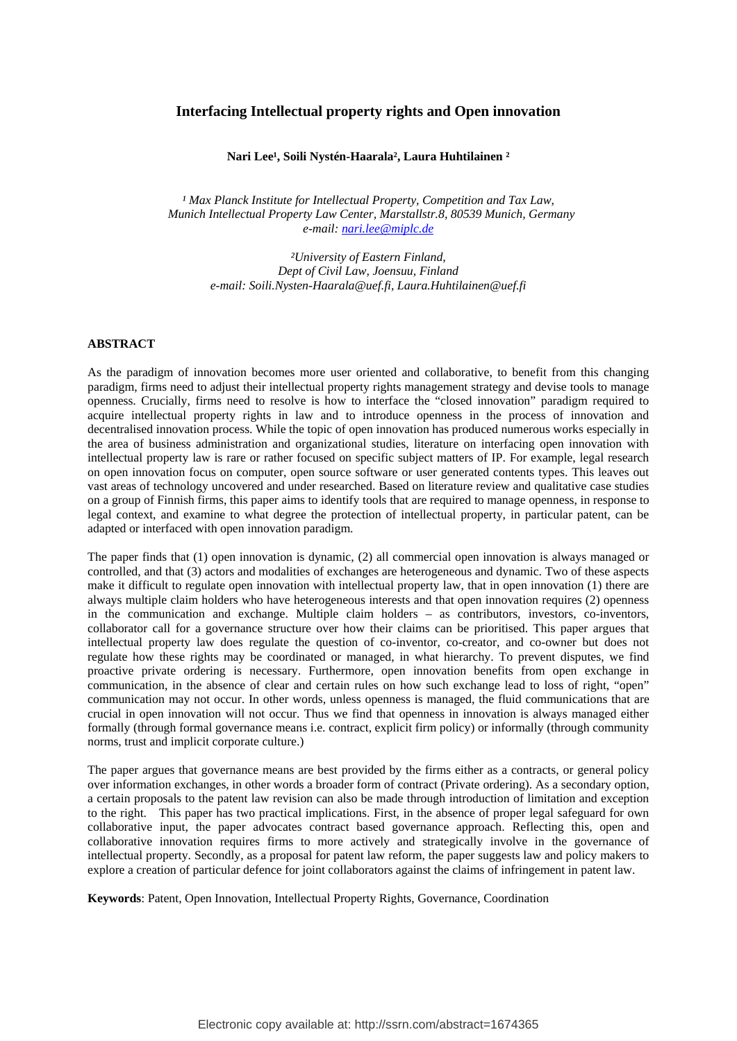# **Interfacing Intellectual property rights and Open innovation**

#### Nari Lee<sup>1</sup>, Soili Nystén-Haarala<sup>2</sup>, Laura Huhtilainen <sup>2</sup>

<sup>1</sup> Max Planck Institute for Intellectual Property, Competition and Tax Law,  *Munich Intellectual Property Law Center, Marstallstr.8, 80539 Munich, Germany e-mail: nari.lee@miplc.de*

> *²University of Eastern Finland, Dept of Civil Law, Joensuu, Finland e-mail: Soili.Nysten-Haarala@uef.fi, Laura.Huhtilainen@uef.fi*

### **ABSTRACT**

As the paradigm of innovation becomes more user oriented and collaborative, to benefit from this changing paradigm, firms need to adjust their intellectual property rights management strategy and devise tools to manage openness. Crucially, firms need to resolve is how to interface the "closed innovation" paradigm required to acquire intellectual property rights in law and to introduce openness in the process of innovation and decentralised innovation process. While the topic of open innovation has produced numerous works especially in the area of business administration and organizational studies, literature on interfacing open innovation with intellectual property law is rare or rather focused on specific subject matters of IP. For example, legal research on open innovation focus on computer, open source software or user generated contents types. This leaves out vast areas of technology uncovered and under researched. Based on literature review and qualitative case studies on a group of Finnish firms, this paper aims to identify tools that are required to manage openness, in response to legal context, and examine to what degree the protection of intellectual property, in particular patent, can be adapted or interfaced with open innovation paradigm.

The paper finds that (1) open innovation is dynamic, (2) all commercial open innovation is always managed or controlled, and that (3) actors and modalities of exchanges are heterogeneous and dynamic. Two of these aspects make it difficult to regulate open innovation with intellectual property law, that in open innovation (1) there are always multiple claim holders who have heterogeneous interests and that open innovation requires (2) openness in the communication and exchange. Multiple claim holders – as contributors, investors, co-inventors, collaborator call for a governance structure over how their claims can be prioritised. This paper argues that intellectual property law does regulate the question of co-inventor, co-creator, and co-owner but does not regulate how these rights may be coordinated or managed, in what hierarchy. To prevent disputes, we find proactive private ordering is necessary. Furthermore, open innovation benefits from open exchange in communication, in the absence of clear and certain rules on how such exchange lead to loss of right, "open" communication may not occur. In other words, unless openness is managed, the fluid communications that are crucial in open innovation will not occur. Thus we find that openness in innovation is always managed either formally (through formal governance means i.e. contract, explicit firm policy) or informally (through community norms, trust and implicit corporate culture.)

The paper argues that governance means are best provided by the firms either as a contracts, or general policy over information exchanges, in other words a broader form of contract (Private ordering). As a secondary option, a certain proposals to the patent law revision can also be made through introduction of limitation and exception to the right. This paper has two practical implications. First, in the absence of proper legal safeguard for own collaborative input, the paper advocates contract based governance approach. Reflecting this, open and collaborative innovation requires firms to more actively and strategically involve in the governance of intellectual property. Secondly, as a proposal for patent law reform, the paper suggests law and policy makers to explore a creation of particular defence for joint collaborators against the claims of infringement in patent law.

**Keywords**: Patent, Open Innovation, Intellectual Property Rights, Governance, Coordination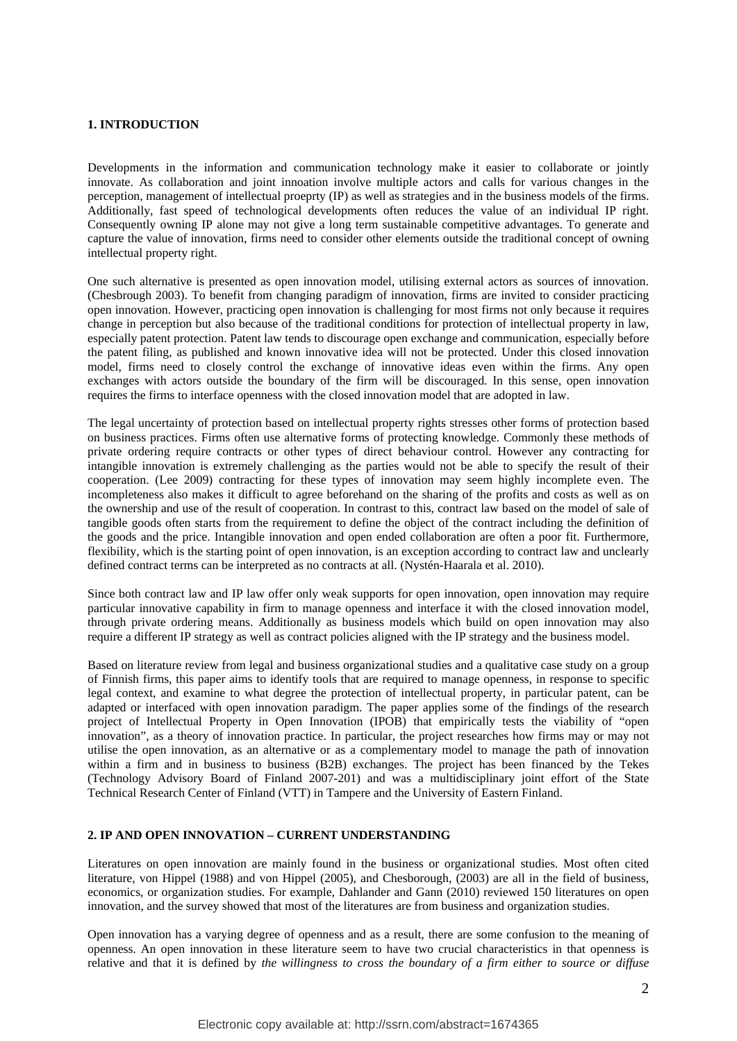### **1. INTRODUCTION**

Developments in the information and communication technology make it easier to collaborate or jointly innovate. As collaboration and joint innoation involve multiple actors and calls for various changes in the perception, management of intellectual proeprty (IP) as well as strategies and in the business models of the firms. Additionally, fast speed of technological developments often reduces the value of an individual IP right. Consequently owning IP alone may not give a long term sustainable competitive advantages. To generate and capture the value of innovation, firms need to consider other elements outside the traditional concept of owning intellectual property right.

One such alternative is presented as open innovation model, utilising external actors as sources of innovation. (Chesbrough 2003). To benefit from changing paradigm of innovation, firms are invited to consider practicing open innovation. However, practicing open innovation is challenging for most firms not only because it requires change in perception but also because of the traditional conditions for protection of intellectual property in law, especially patent protection. Patent law tends to discourage open exchange and communication, especially before the patent filing, as published and known innovative idea will not be protected. Under this closed innovation model, firms need to closely control the exchange of innovative ideas even within the firms. Any open exchanges with actors outside the boundary of the firm will be discouraged. In this sense, open innovation requires the firms to interface openness with the closed innovation model that are adopted in law.

The legal uncertainty of protection based on intellectual property rights stresses other forms of protection based on business practices. Firms often use alternative forms of protecting knowledge. Commonly these methods of private ordering require contracts or other types of direct behaviour control. However any contracting for intangible innovation is extremely challenging as the parties would not be able to specify the result of their cooperation. (Lee 2009) contracting for these types of innovation may seem highly incomplete even. The incompleteness also makes it difficult to agree beforehand on the sharing of the profits and costs as well as on the ownership and use of the result of cooperation. In contrast to this, contract law based on the model of sale of tangible goods often starts from the requirement to define the object of the contract including the definition of the goods and the price. Intangible innovation and open ended collaboration are often a poor fit. Furthermore, flexibility, which is the starting point of open innovation, is an exception according to contract law and unclearly defined contract terms can be interpreted as no contracts at all. (Nystén-Haarala et al. 2010).

Since both contract law and IP law offer only weak supports for open innovation, open innovation may require particular innovative capability in firm to manage openness and interface it with the closed innovation model, through private ordering means. Additionally as business models which build on open innovation may also require a different IP strategy as well as contract policies aligned with the IP strategy and the business model.

Based on literature review from legal and business organizational studies and a qualitative case study on a group of Finnish firms, this paper aims to identify tools that are required to manage openness, in response to specific legal context, and examine to what degree the protection of intellectual property, in particular patent, can be adapted or interfaced with open innovation paradigm. The paper applies some of the findings of the research project of Intellectual Property in Open Innovation (IPOB) that empirically tests the viability of "open innovation", as a theory of innovation practice. In particular, the project researches how firms may or may not utilise the open innovation, as an alternative or as a complementary model to manage the path of innovation within a firm and in business to business (B2B) exchanges. The project has been financed by the Tekes (Technology Advisory Board of Finland 2007-201) and was a multidisciplinary joint effort of the State Technical Research Center of Finland (VTT) in Tampere and the University of Eastern Finland.

#### **2. IP AND OPEN INNOVATION – CURRENT UNDERSTANDING**

Literatures on open innovation are mainly found in the business or organizational studies. Most often cited literature, von Hippel (1988) and von Hippel (2005), and Chesborough, (2003) are all in the field of business, economics, or organization studies. For example, Dahlander and Gann (2010) reviewed 150 literatures on open innovation, and the survey showed that most of the literatures are from business and organization studies.

Open innovation has a varying degree of openness and as a result, there are some confusion to the meaning of openness. An open innovation in these literature seem to have two crucial characteristics in that openness is relative and that it is defined by *the willingness to cross the boundary of a firm either to source or diffuse*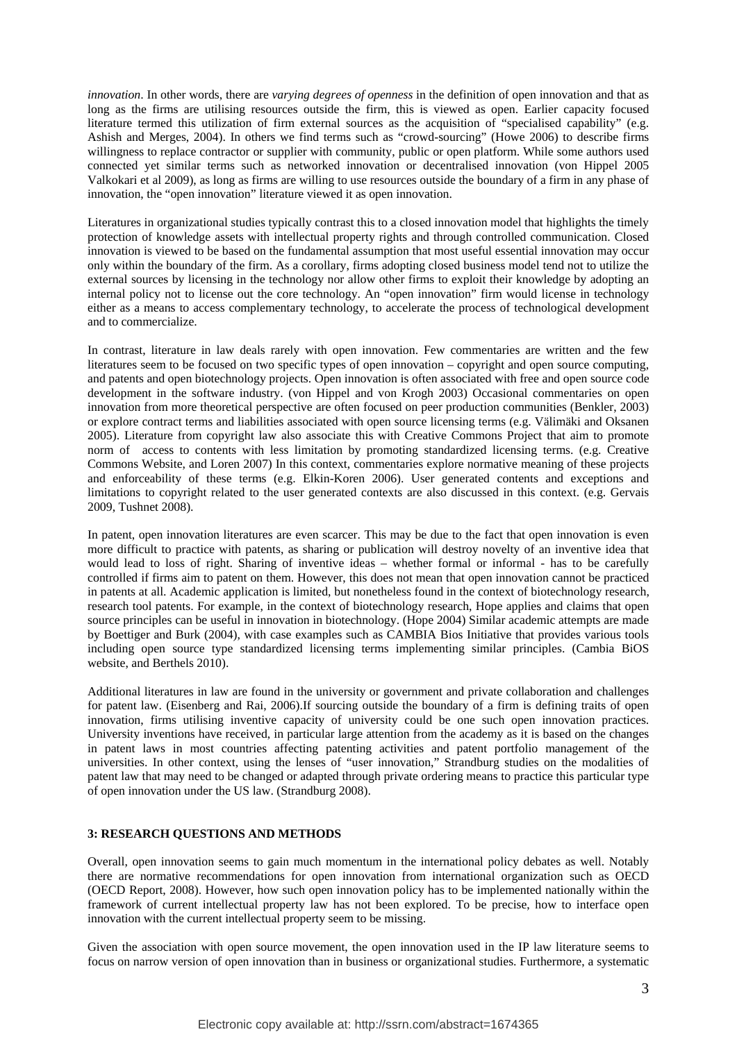*innovation*. In other words, there are *varying degrees of openness* in the definition of open innovation and that as long as the firms are utilising resources outside the firm, this is viewed as open. Earlier capacity focused literature termed this utilization of firm external sources as the acquisition of "specialised capability" (e.g. Ashish and Merges, 2004). In others we find terms such as "crowd-sourcing" (Howe 2006) to describe firms willingness to replace contractor or supplier with community, public or open platform. While some authors used connected yet similar terms such as networked innovation or decentralised innovation (von Hippel 2005 Valkokari et al 2009), as long as firms are willing to use resources outside the boundary of a firm in any phase of innovation, the "open innovation" literature viewed it as open innovation.

Literatures in organizational studies typically contrast this to a closed innovation model that highlights the timely protection of knowledge assets with intellectual property rights and through controlled communication. Closed innovation is viewed to be based on the fundamental assumption that most useful essential innovation may occur only within the boundary of the firm. As a corollary, firms adopting closed business model tend not to utilize the external sources by licensing in the technology nor allow other firms to exploit their knowledge by adopting an internal policy not to license out the core technology. An "open innovation" firm would license in technology either as a means to access complementary technology, to accelerate the process of technological development and to commercialize.

In contrast, literature in law deals rarely with open innovation. Few commentaries are written and the few literatures seem to be focused on two specific types of open innovation – copyright and open source computing, and patents and open biotechnology projects. Open innovation is often associated with free and open source code development in the software industry. (von Hippel and von Krogh 2003) Occasional commentaries on open innovation from more theoretical perspective are often focused on peer production communities (Benkler, 2003) or explore contract terms and liabilities associated with open source licensing terms (e.g. Välimäki and Oksanen 2005). Literature from copyright law also associate this with Creative Commons Project that aim to promote norm of access to contents with less limitation by promoting standardized licensing terms. (e.g. Creative Commons Website, and Loren 2007) In this context, commentaries explore normative meaning of these projects and enforceability of these terms (e.g. Elkin-Koren 2006). User generated contents and exceptions and limitations to copyright related to the user generated contexts are also discussed in this context. (e.g. Gervais 2009, Tushnet 2008).

In patent, open innovation literatures are even scarcer. This may be due to the fact that open innovation is even more difficult to practice with patents, as sharing or publication will destroy novelty of an inventive idea that would lead to loss of right. Sharing of inventive ideas – whether formal or informal - has to be carefully controlled if firms aim to patent on them. However, this does not mean that open innovation cannot be practiced in patents at all. Academic application is limited, but nonetheless found in the context of biotechnology research, research tool patents. For example, in the context of biotechnology research, Hope applies and claims that open source principles can be useful in innovation in biotechnology. (Hope 2004) Similar academic attempts are made by Boettiger and Burk (2004), with case examples such as CAMBIA Bios Initiative that provides various tools including open source type standardized licensing terms implementing similar principles. (Cambia BiOS website, and Berthels 2010).

Additional literatures in law are found in the university or government and private collaboration and challenges for patent law. (Eisenberg and Rai, 2006).If sourcing outside the boundary of a firm is defining traits of open innovation, firms utilising inventive capacity of university could be one such open innovation practices. University inventions have received, in particular large attention from the academy as it is based on the changes in patent laws in most countries affecting patenting activities and patent portfolio management of the universities. In other context, using the lenses of "user innovation," Strandburg studies on the modalities of patent law that may need to be changed or adapted through private ordering means to practice this particular type of open innovation under the US law. (Strandburg 2008).

#### **3: RESEARCH QUESTIONS AND METHODS**

Overall, open innovation seems to gain much momentum in the international policy debates as well. Notably there are normative recommendations for open innovation from international organization such as OECD (OECD Report, 2008). However, how such open innovation policy has to be implemented nationally within the framework of current intellectual property law has not been explored. To be precise, how to interface open innovation with the current intellectual property seem to be missing.

Given the association with open source movement, the open innovation used in the IP law literature seems to focus on narrow version of open innovation than in business or organizational studies. Furthermore, a systematic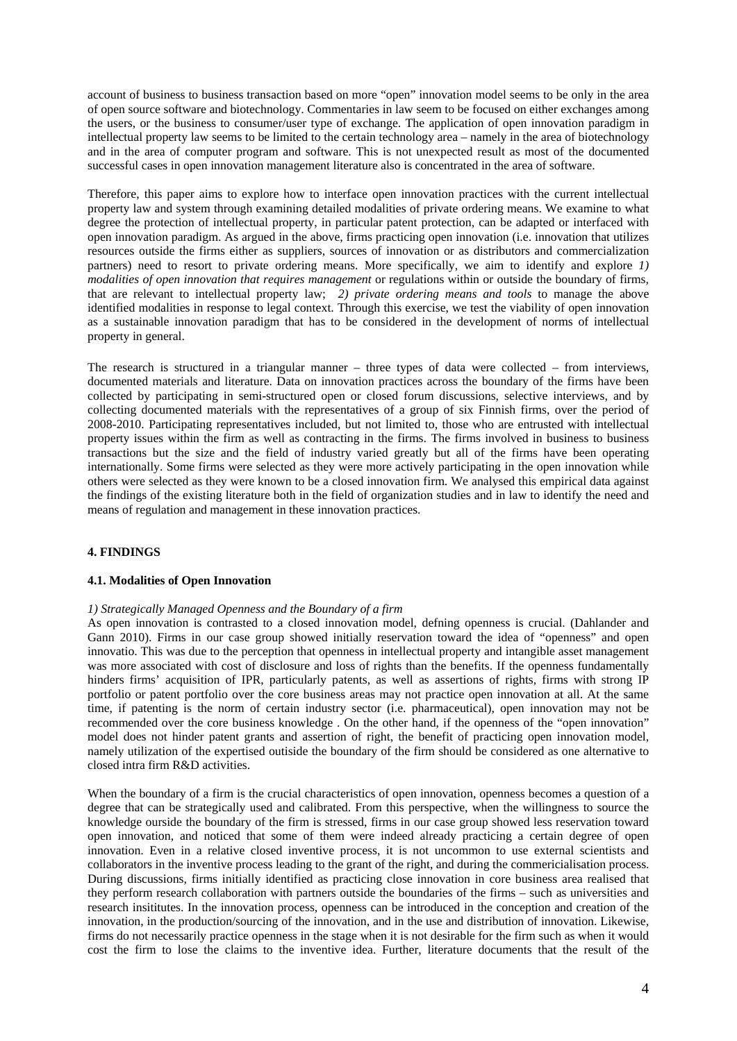account of business to business transaction based on more "open" innovation model seems to be only in the area of open source software and biotechnology. Commentaries in law seem to be focused on either exchanges among the users, or the business to consumer/user type of exchange. The application of open innovation paradigm in intellectual property law seems to be limited to the certain technology area – namely in the area of biotechnology and in the area of computer program and software. This is not unexpected result as most of the documented successful cases in open innovation management literature also is concentrated in the area of software.

Therefore, this paper aims to explore how to interface open innovation practices with the current intellectual property law and system through examining detailed modalities of private ordering means. We examine to what degree the protection of intellectual property, in particular patent protection, can be adapted or interfaced with open innovation paradigm. As argued in the above, firms practicing open innovation (i.e. innovation that utilizes resources outside the firms either as suppliers, sources of innovation or as distributors and commercialization partners) need to resort to private ordering means. More specifically, we aim to identify and explore *1) modalities of open innovation that requires management* or regulations within or outside the boundary of firms, that are relevant to intellectual property law; *2) private ordering means and tools* to manage the above identified modalities in response to legal context. Through this exercise, we test the viability of open innovation as a sustainable innovation paradigm that has to be considered in the development of norms of intellectual property in general.

The research is structured in a triangular manner – three types of data were collected – from interviews, documented materials and literature. Data on innovation practices across the boundary of the firms have been collected by participating in semi-structured open or closed forum discussions, selective interviews, and by collecting documented materials with the representatives of a group of six Finnish firms, over the period of 2008-2010. Participating representatives included, but not limited to, those who are entrusted with intellectual property issues within the firm as well as contracting in the firms. The firms involved in business to business transactions but the size and the field of industry varied greatly but all of the firms have been operating internationally. Some firms were selected as they were more actively participating in the open innovation while others were selected as they were known to be a closed innovation firm. We analysed this empirical data against the findings of the existing literature both in the field of organization studies and in law to identify the need and means of regulation and management in these innovation practices.

# **4. FINDINGS**

# **4.1. Modalities of Open Innovation**

# *1) Strategically Managed Openness and the Boundary of a firm*

As open innovation is contrasted to a closed innovation model, defning openness is crucial. (Dahlander and Gann 2010). Firms in our case group showed initially reservation toward the idea of "openness" and open innovatio. This was due to the perception that openness in intellectual property and intangible asset management was more associated with cost of disclosure and loss of rights than the benefits. If the openness fundamentally hinders firms' acquisition of IPR, particularly patents, as well as assertions of rights, firms with strong IP portfolio or patent portfolio over the core business areas may not practice open innovation at all. At the same time, if patenting is the norm of certain industry sector (i.e. pharmaceutical), open innovation may not be recommended over the core business knowledge . On the other hand, if the openness of the "open innovation" model does not hinder patent grants and assertion of right, the benefit of practicing open innovation model, namely utilization of the expertised outiside the boundary of the firm should be considered as one alternative to closed intra firm R&D activities.

When the boundary of a firm is the crucial characteristics of open innovation, openness becomes a question of a degree that can be strategically used and calibrated. From this perspective, when the willingness to source the knowledge ourside the boundary of the firm is stressed, firms in our case group showed less reservation toward open innovation, and noticed that some of them were indeed already practicing a certain degree of open innovation. Even in a relative closed inventive process, it is not uncommon to use external scientists and collaborators in the inventive process leading to the grant of the right, and during the commericialisation process. During discussions, firms initially identified as practicing close innovation in core business area realised that they perform research collaboration with partners outside the boundaries of the firms – such as universities and research insititutes. In the innovation process, openness can be introduced in the conception and creation of the innovation, in the production/sourcing of the innovation, and in the use and distribution of innovation. Likewise, firms do not necessarily practice openness in the stage when it is not desirable for the firm such as when it would cost the firm to lose the claims to the inventive idea. Further, literature documents that the result of the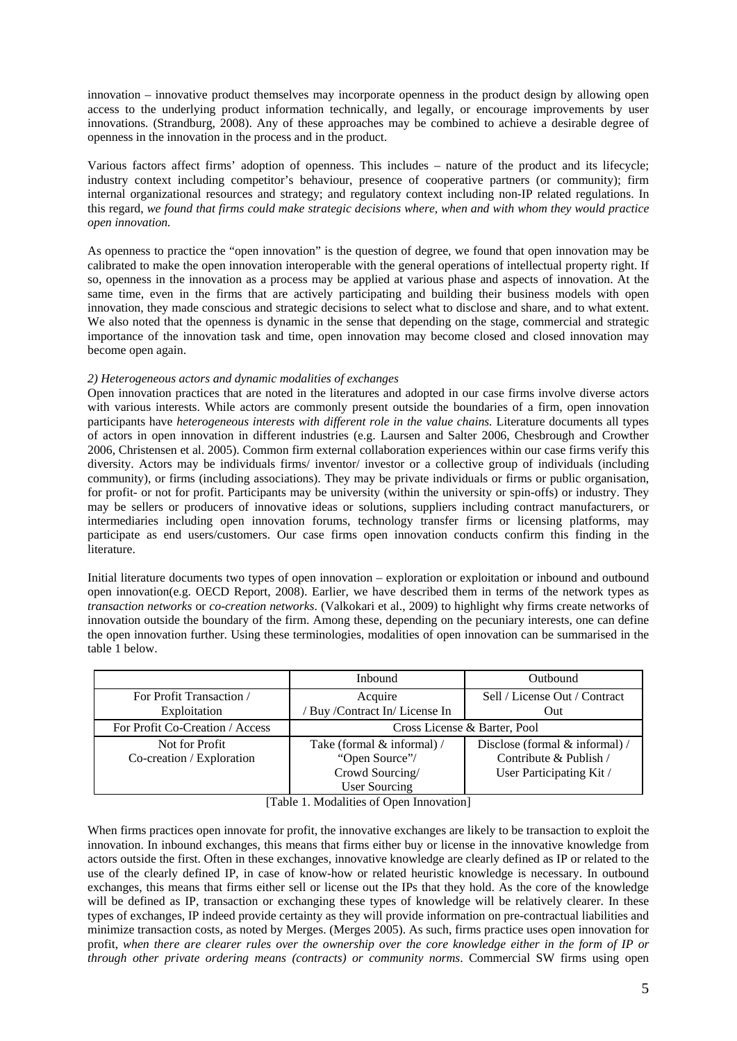innovation – innovative product themselves may incorporate openness in the product design by allowing open access to the underlying product information technically, and legally, or encourage improvements by user innovations. (Strandburg, 2008). Any of these approaches may be combined to achieve a desirable degree of openness in the innovation in the process and in the product.

Various factors affect firms' adoption of openness. This includes – nature of the product and its lifecycle; industry context including competitor's behaviour, presence of cooperative partners (or community); firm internal organizational resources and strategy; and regulatory context including non-IP related regulations. In this regard, *we found that firms could make strategic decisions where, when and with whom they would practice open innovation.*

As openness to practice the "open innovation" is the question of degree, we found that open innovation may be calibrated to make the open innovation interoperable with the general operations of intellectual property right. If so, openness in the innovation as a process may be applied at various phase and aspects of innovation. At the same time, even in the firms that are actively participating and building their business models with open innovation, they made conscious and strategic decisions to select what to disclose and share, and to what extent. We also noted that the openness is dynamic in the sense that depending on the stage, commercial and strategic importance of the innovation task and time, open innovation may become closed and closed innovation may become open again.

# *2) Heterogeneous actors and dynamic modalities of exchanges*

Open innovation practices that are noted in the literatures and adopted in our case firms involve diverse actors with various interests. While actors are commonly present outside the boundaries of a firm, open innovation participants have *heterogeneous interests with different role in the value chains.* Literature documents all types of actors in open innovation in different industries (e.g. Laursen and Salter 2006, Chesbrough and Crowther 2006, Christensen et al. 2005). Common firm external collaboration experiences within our case firms verify this diversity. Actors may be individuals firms/ inventor/ investor or a collective group of individuals (including community), or firms (including associations). They may be private individuals or firms or public organisation, for profit- or not for profit. Participants may be university (within the university or spin-offs) or industry. They may be sellers or producers of innovative ideas or solutions, suppliers including contract manufacturers, or intermediaries including open innovation forums, technology transfer firms or licensing platforms, may participate as end users/customers. Our case firms open innovation conducts confirm this finding in the literature.

Initial literature documents two types of open innovation – exploration or exploitation or inbound and outbound open innovation(e.g. OECD Report, 2008). Earlier, we have described them in terms of the network types as *transaction networks* or *co-creation networks*. (Valkokari et al., 2009) to highlight why firms create networks of innovation outside the boundary of the firm. Among these, depending on the pecuniary interests, one can define the open innovation further. Using these terminologies, modalities of open innovation can be summarised in the table 1 below.

|                                             | Inbound                                                                                   | Outbound                                                                                |  |
|---------------------------------------------|-------------------------------------------------------------------------------------------|-----------------------------------------------------------------------------------------|--|
| For Profit Transaction /<br>Exploitation    | Acquire<br>Buy /Contract In/License In                                                    | Sell / License Out / Contract<br>Out                                                    |  |
| For Profit Co-Creation / Access             | Cross License & Barter, Pool                                                              |                                                                                         |  |
| Not for Profit<br>Co-creation / Exploration | Take (formal $&$ informal) /<br>"Open Source"/<br>Crowd Sourcing/<br><b>User Sourcing</b> | Disclose (formal $\&$ informal) /<br>Contribute & Publish /<br>User Participating Kit / |  |

[Table 1. Modalities of Open Innovation]

When firms practices open innovate for profit, the innovative exchanges are likely to be transaction to exploit the innovation. In inbound exchanges, this means that firms either buy or license in the innovative knowledge from actors outside the first. Often in these exchanges, innovative knowledge are clearly defined as IP or related to the use of the clearly defined IP, in case of know-how or related heuristic knowledge is necessary. In outbound exchanges, this means that firms either sell or license out the IPs that they hold. As the core of the knowledge will be defined as IP, transaction or exchanging these types of knowledge will be relatively clearer. In these types of exchanges, IP indeed provide certainty as they will provide information on pre-contractual liabilities and minimize transaction costs, as noted by Merges. (Merges 2005). As such, firms practice uses open innovation for profit, *when there are clearer rules over the ownership over the core knowledge either in the form of IP or through other private ordering means (contracts) or community norms*. Commercial SW firms using open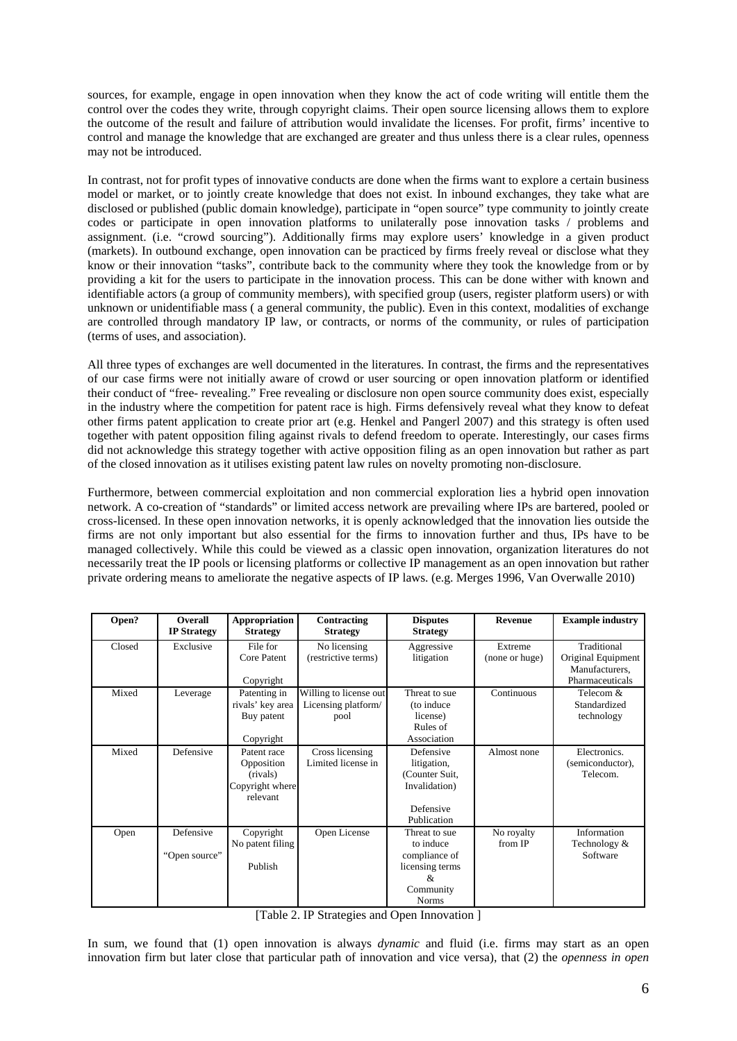sources, for example, engage in open innovation when they know the act of code writing will entitle them the control over the codes they write, through copyright claims. Their open source licensing allows them to explore the outcome of the result and failure of attribution would invalidate the licenses. For profit, firms' incentive to control and manage the knowledge that are exchanged are greater and thus unless there is a clear rules, openness may not be introduced.

In contrast, not for profit types of innovative conducts are done when the firms want to explore a certain business model or market, or to jointly create knowledge that does not exist. In inbound exchanges, they take what are disclosed or published (public domain knowledge), participate in "open source" type community to jointly create codes or participate in open innovation platforms to unilaterally pose innovation tasks / problems and assignment. (i.e. "crowd sourcing"). Additionally firms may explore users' knowledge in a given product (markets). In outbound exchange, open innovation can be practiced by firms freely reveal or disclose what they know or their innovation "tasks", contribute back to the community where they took the knowledge from or by providing a kit for the users to participate in the innovation process. This can be done wither with known and identifiable actors (a group of community members), with specified group (users, register platform users) or with unknown or unidentifiable mass ( a general community, the public). Even in this context, modalities of exchange are controlled through mandatory IP law, or contracts, or norms of the community, or rules of participation (terms of uses, and association).

All three types of exchanges are well documented in the literatures. In contrast, the firms and the representatives of our case firms were not initially aware of crowd or user sourcing or open innovation platform or identified their conduct of "free- revealing." Free revealing or disclosure non open source community does exist, especially in the industry where the competition for patent race is high. Firms defensively reveal what they know to defeat other firms patent application to create prior art (e.g. Henkel and Pangerl 2007) and this strategy is often used together with patent opposition filing against rivals to defend freedom to operate. Interestingly, our cases firms did not acknowledge this strategy together with active opposition filing as an open innovation but rather as part of the closed innovation as it utilises existing patent law rules on novelty promoting non-disclosure.

Furthermore, between commercial exploitation and non commercial exploration lies a hybrid open innovation network. A co-creation of "standards" or limited access network are prevailing where IPs are bartered, pooled or cross-licensed. In these open innovation networks, it is openly acknowledged that the innovation lies outside the firms are not only important but also essential for the firms to innovation further and thus, IPs have to be managed collectively. While this could be viewed as a classic open innovation, organization literatures do not necessarily treat the IP pools or licensing platforms or collective IP management as an open innovation but rather private ordering means to ameliorate the negative aspects of IP laws. (e.g. Merges 1996, Van Overwalle 2010)

| Open?  | Overall<br><b>IP</b> Strategy | Appropriation<br><b>Strategy</b>                                     | Contracting<br><b>Strategy</b>                        | <b>Disputes</b><br><b>Strategy</b>                                                               | <b>Revenue</b>            | <b>Example industry</b>                                                |
|--------|-------------------------------|----------------------------------------------------------------------|-------------------------------------------------------|--------------------------------------------------------------------------------------------------|---------------------------|------------------------------------------------------------------------|
| Closed | Exclusive                     | File for<br>Core Patent<br>Copyright                                 | No licensing<br>(restrictive terms)                   | Aggressive<br>litigation                                                                         | Extreme<br>(none or huge) | Traditional<br>Original Equipment<br>Manufacturers,<br>Pharmaceuticals |
| Mixed  | Leverage                      | Patenting in<br>rivals' key area<br>Buy patent<br>Copyright          | Willing to license out<br>Licensing platform/<br>pool | Threat to sue<br>(to induce<br>license)<br>Rules of<br>Association                               | Continuous                | Telecom &<br>Standardized<br>technology                                |
| Mixed  | Defensive                     | Patent race<br>Opposition<br>(rivals)<br>Copyright where<br>relevant | Cross licensing<br>Limited license in                 | Defensive<br>litigation,<br>(Counter Suit,<br>Invalidation)<br>Defensive<br>Publication          | Almost none               | Electronics.<br>(semiconductor),<br>Telecom.                           |
| Open   | Defensive<br>"Open source"    | Copyright<br>No patent filing<br>Publish                             | Open License                                          | Threat to sue<br>to induce<br>compliance of<br>licensing terms<br>&<br>Community<br><b>Norms</b> | No royalty<br>from IP     | Information<br>Technology &<br>Software                                |

In sum, we found that (1) open innovation is always *dynamic* and fluid (i.e. firms may start as an open innovation firm but later close that particular path of innovation and vice versa), that (2) the *openness in open*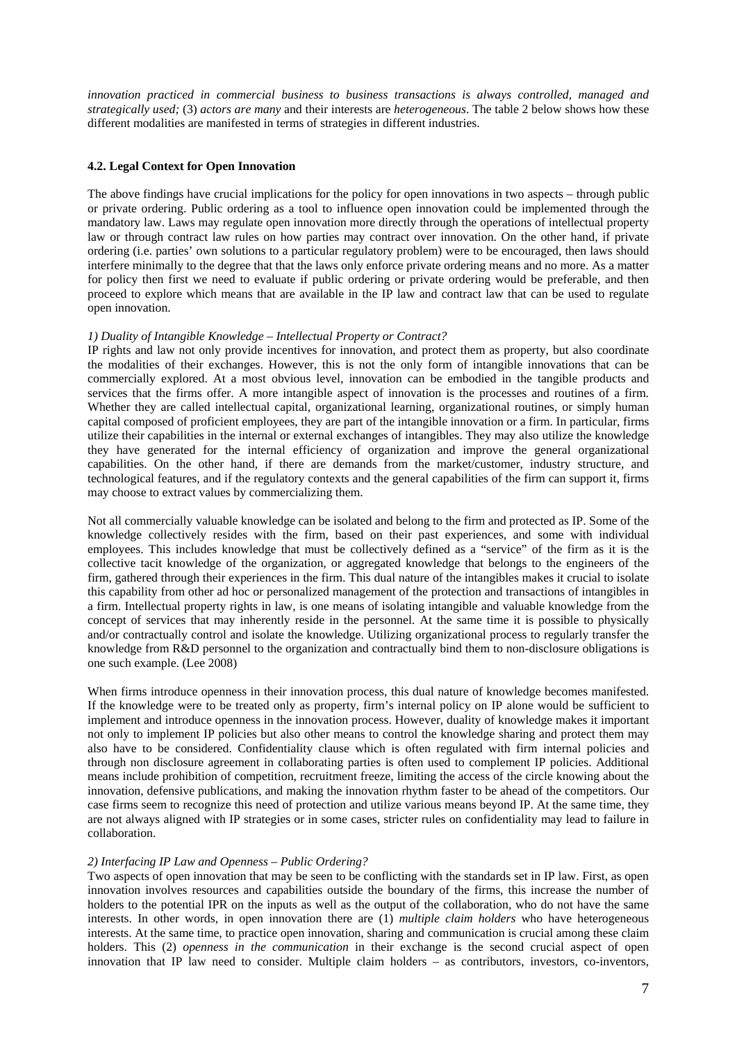*innovation practiced in commercial business to business transactions is always controlled, managed and strategically used;* (3) *actors are many* and their interests are *heterogeneous*. The table 2 below shows how these different modalities are manifested in terms of strategies in different industries.

### **4.2. Legal Context for Open Innovation**

The above findings have crucial implications for the policy for open innovations in two aspects – through public or private ordering. Public ordering as a tool to influence open innovation could be implemented through the mandatory law. Laws may regulate open innovation more directly through the operations of intellectual property law or through contract law rules on how parties may contract over innovation. On the other hand, if private ordering (i.e. parties' own solutions to a particular regulatory problem) were to be encouraged, then laws should interfere minimally to the degree that that the laws only enforce private ordering means and no more. As a matter for policy then first we need to evaluate if public ordering or private ordering would be preferable, and then proceed to explore which means that are available in the IP law and contract law that can be used to regulate open innovation.

#### *1) Duality of Intangible Knowledge – Intellectual Property or Contract?*

IP rights and law not only provide incentives for innovation, and protect them as property, but also coordinate the modalities of their exchanges. However, this is not the only form of intangible innovations that can be commercially explored. At a most obvious level, innovation can be embodied in the tangible products and services that the firms offer. A more intangible aspect of innovation is the processes and routines of a firm. Whether they are called intellectual capital, organizational learning, organizational routines, or simply human capital composed of proficient employees, they are part of the intangible innovation or a firm. In particular, firms utilize their capabilities in the internal or external exchanges of intangibles. They may also utilize the knowledge they have generated for the internal efficiency of organization and improve the general organizational capabilities. On the other hand, if there are demands from the market/customer, industry structure, and technological features, and if the regulatory contexts and the general capabilities of the firm can support it, firms may choose to extract values by commercializing them.

Not all commercially valuable knowledge can be isolated and belong to the firm and protected as IP. Some of the knowledge collectively resides with the firm, based on their past experiences, and some with individual employees. This includes knowledge that must be collectively defined as a "service" of the firm as it is the collective tacit knowledge of the organization, or aggregated knowledge that belongs to the engineers of the firm, gathered through their experiences in the firm. This dual nature of the intangibles makes it crucial to isolate this capability from other ad hoc or personalized management of the protection and transactions of intangibles in a firm. Intellectual property rights in law, is one means of isolating intangible and valuable knowledge from the concept of services that may inherently reside in the personnel. At the same time it is possible to physically and/or contractually control and isolate the knowledge. Utilizing organizational process to regularly transfer the knowledge from R&D personnel to the organization and contractually bind them to non-disclosure obligations is one such example. (Lee 2008)

When firms introduce openness in their innovation process, this dual nature of knowledge becomes manifested. If the knowledge were to be treated only as property, firm's internal policy on IP alone would be sufficient to implement and introduce openness in the innovation process. However, duality of knowledge makes it important not only to implement IP policies but also other means to control the knowledge sharing and protect them may also have to be considered. Confidentiality clause which is often regulated with firm internal policies and through non disclosure agreement in collaborating parties is often used to complement IP policies. Additional means include prohibition of competition, recruitment freeze, limiting the access of the circle knowing about the innovation, defensive publications, and making the innovation rhythm faster to be ahead of the competitors. Our case firms seem to recognize this need of protection and utilize various means beyond IP. At the same time, they are not always aligned with IP strategies or in some cases, stricter rules on confidentiality may lead to failure in collaboration.

#### *2) Interfacing IP Law and Openness – Public Ordering?*

Two aspects of open innovation that may be seen to be conflicting with the standards set in IP law. First, as open innovation involves resources and capabilities outside the boundary of the firms, this increase the number of holders to the potential IPR on the inputs as well as the output of the collaboration, who do not have the same interests. In other words, in open innovation there are (1) *multiple claim holders* who have heterogeneous interests. At the same time, to practice open innovation, sharing and communication is crucial among these claim holders. This (2) *openness in the communication* in their exchange is the second crucial aspect of open innovation that IP law need to consider. Multiple claim holders – as contributors, investors, co-inventors,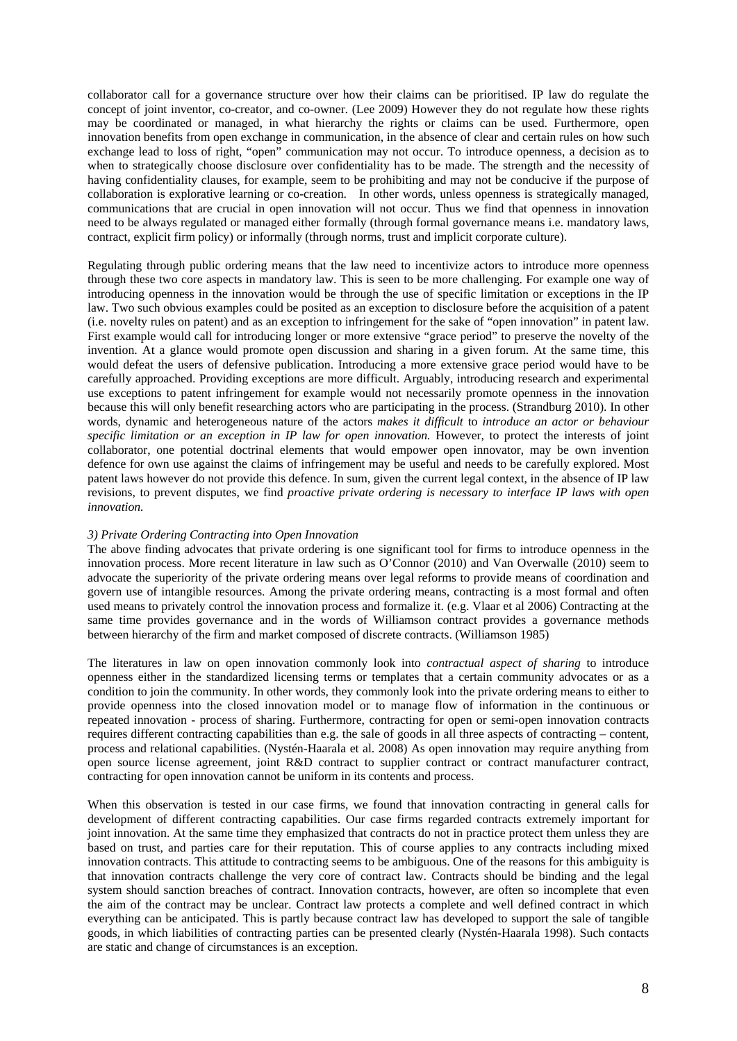collaborator call for a governance structure over how their claims can be prioritised. IP law do regulate the concept of joint inventor, co-creator, and co-owner. (Lee 2009) However they do not regulate how these rights may be coordinated or managed, in what hierarchy the rights or claims can be used. Furthermore, open innovation benefits from open exchange in communication, in the absence of clear and certain rules on how such exchange lead to loss of right, "open" communication may not occur. To introduce openness, a decision as to when to strategically choose disclosure over confidentiality has to be made. The strength and the necessity of having confidentiality clauses, for example, seem to be prohibiting and may not be conducive if the purpose of collaboration is explorative learning or co-creation. In other words, unless openness is strategically managed, communications that are crucial in open innovation will not occur. Thus we find that openness in innovation need to be always regulated or managed either formally (through formal governance means i.e. mandatory laws, contract, explicit firm policy) or informally (through norms, trust and implicit corporate culture).

Regulating through public ordering means that the law need to incentivize actors to introduce more openness through these two core aspects in mandatory law. This is seen to be more challenging. For example one way of introducing openness in the innovation would be through the use of specific limitation or exceptions in the IP law. Two such obvious examples could be posited as an exception to disclosure before the acquisition of a patent (i.e. novelty rules on patent) and as an exception to infringement for the sake of "open innovation" in patent law. First example would call for introducing longer or more extensive "grace period" to preserve the novelty of the invention. At a glance would promote open discussion and sharing in a given forum. At the same time, this would defeat the users of defensive publication. Introducing a more extensive grace period would have to be carefully approached. Providing exceptions are more difficult. Arguably, introducing research and experimental use exceptions to patent infringement for example would not necessarily promote openness in the innovation because this will only benefit researching actors who are participating in the process. (Strandburg 2010). In other words, dynamic and heterogeneous nature of the actors *makes it difficult* to *introduce an actor or behaviour specific limitation or an exception in IP law for open innovation.* However, to protect the interests of joint collaborator, one potential doctrinal elements that would empower open innovator, may be own invention defence for own use against the claims of infringement may be useful and needs to be carefully explored. Most patent laws however do not provide this defence. In sum, given the current legal context, in the absence of IP law revisions, to prevent disputes, we find *proactive private ordering is necessary to interface IP laws with open innovation.* 

# *3) Private Ordering Contracting into Open Innovation*

The above finding advocates that private ordering is one significant tool for firms to introduce openness in the innovation process. More recent literature in law such as O'Connor (2010) and Van Overwalle (2010) seem to advocate the superiority of the private ordering means over legal reforms to provide means of coordination and govern use of intangible resources. Among the private ordering means, contracting is a most formal and often used means to privately control the innovation process and formalize it. (e.g. Vlaar et al 2006) Contracting at the same time provides governance and in the words of Williamson contract provides a governance methods between hierarchy of the firm and market composed of discrete contracts. (Williamson 1985)

The literatures in law on open innovation commonly look into *contractual aspect of sharing* to introduce openness either in the standardized licensing terms or templates that a certain community advocates or as a condition to join the community. In other words, they commonly look into the private ordering means to either to provide openness into the closed innovation model or to manage flow of information in the continuous or repeated innovation - process of sharing. Furthermore, contracting for open or semi-open innovation contracts requires different contracting capabilities than e.g. the sale of goods in all three aspects of contracting – content, process and relational capabilities. (Nystén-Haarala et al. 2008) As open innovation may require anything from open source license agreement, joint R&D contract to supplier contract or contract manufacturer contract, contracting for open innovation cannot be uniform in its contents and process.

When this observation is tested in our case firms, we found that innovation contracting in general calls for development of different contracting capabilities. Our case firms regarded contracts extremely important for joint innovation. At the same time they emphasized that contracts do not in practice protect them unless they are based on trust, and parties care for their reputation. This of course applies to any contracts including mixed innovation contracts. This attitude to contracting seems to be ambiguous. One of the reasons for this ambiguity is that innovation contracts challenge the very core of contract law. Contracts should be binding and the legal system should sanction breaches of contract. Innovation contracts, however, are often so incomplete that even the aim of the contract may be unclear. Contract law protects a complete and well defined contract in which everything can be anticipated. This is partly because contract law has developed to support the sale of tangible goods, in which liabilities of contracting parties can be presented clearly (Nystén-Haarala 1998). Such contacts are static and change of circumstances is an exception.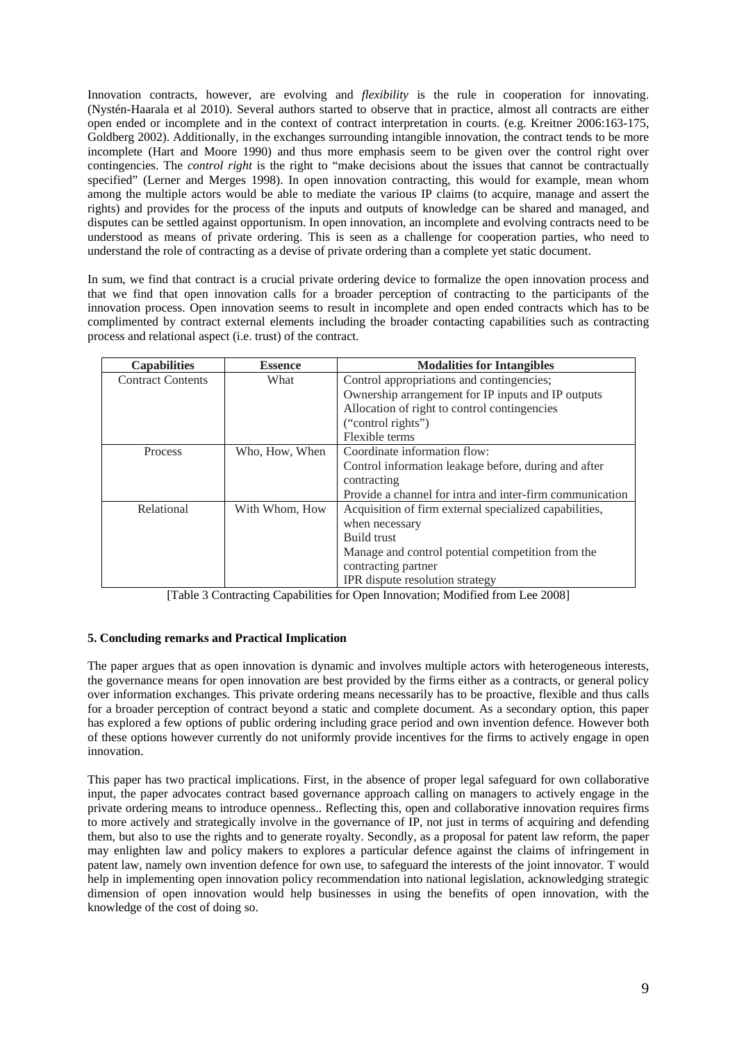Innovation contracts, however, are evolving and *flexibility* is the rule in cooperation for innovating. (Nystén-Haarala et al 2010). Several authors started to observe that in practice, almost all contracts are either open ended or incomplete and in the context of contract interpretation in courts. (e.g. Kreitner 2006:163-175, Goldberg 2002). Additionally, in the exchanges surrounding intangible innovation, the contract tends to be more incomplete (Hart and Moore 1990) and thus more emphasis seem to be given over the control right over contingencies. The *control right* is the right to "make decisions about the issues that cannot be contractually specified" (Lerner and Merges 1998). In open innovation contracting, this would for example, mean whom among the multiple actors would be able to mediate the various IP claims (to acquire, manage and assert the rights) and provides for the process of the inputs and outputs of knowledge can be shared and managed, and disputes can be settled against opportunism. In open innovation, an incomplete and evolving contracts need to be understood as means of private ordering. This is seen as a challenge for cooperation parties, who need to understand the role of contracting as a devise of private ordering than a complete yet static document.

In sum, we find that contract is a crucial private ordering device to formalize the open innovation process and that we find that open innovation calls for a broader perception of contracting to the participants of the innovation process. Open innovation seems to result in incomplete and open ended contracts which has to be complimented by contract external elements including the broader contacting capabilities such as contracting process and relational aspect (i.e. trust) of the contract.

| <b>Capabilities</b>      | <b>Essence</b> | <b>Modalities for Intangibles</b>                        |
|--------------------------|----------------|----------------------------------------------------------|
| <b>Contract Contents</b> | What           | Control appropriations and contingencies;                |
|                          |                | Ownership arrangement for IP inputs and IP outputs       |
|                          |                | Allocation of right to control contingencies             |
|                          |                | ("control rights")                                       |
|                          |                | Flexible terms                                           |
| <b>Process</b>           | Who, How, When | Coordinate information flow:                             |
|                          |                | Control information leakage before, during and after     |
|                          |                | contracting                                              |
|                          |                | Provide a channel for intra and inter-firm communication |
| Relational               | With Whom, How | Acquisition of firm external specialized capabilities,   |
|                          |                | when necessary                                           |
|                          |                | Build trust                                              |
|                          |                | Manage and control potential competition from the        |
|                          |                | contracting partner                                      |
|                          |                | IPR dispute resolution strategy                          |

[Table 3 Contracting Capabilities for Open Innovation; Modified from Lee 2008]

# **5. Concluding remarks and Practical Implication**

The paper argues that as open innovation is dynamic and involves multiple actors with heterogeneous interests, the governance means for open innovation are best provided by the firms either as a contracts, or general policy over information exchanges. This private ordering means necessarily has to be proactive, flexible and thus calls for a broader perception of contract beyond a static and complete document. As a secondary option, this paper has explored a few options of public ordering including grace period and own invention defence. However both of these options however currently do not uniformly provide incentives for the firms to actively engage in open innovation.

This paper has two practical implications. First, in the absence of proper legal safeguard for own collaborative input, the paper advocates contract based governance approach calling on managers to actively engage in the private ordering means to introduce openness.. Reflecting this, open and collaborative innovation requires firms to more actively and strategically involve in the governance of IP, not just in terms of acquiring and defending them, but also to use the rights and to generate royalty. Secondly, as a proposal for patent law reform, the paper may enlighten law and policy makers to explores a particular defence against the claims of infringement in patent law, namely own invention defence for own use, to safeguard the interests of the joint innovator. T would help in implementing open innovation policy recommendation into national legislation, acknowledging strategic dimension of open innovation would help businesses in using the benefits of open innovation, with the knowledge of the cost of doing so.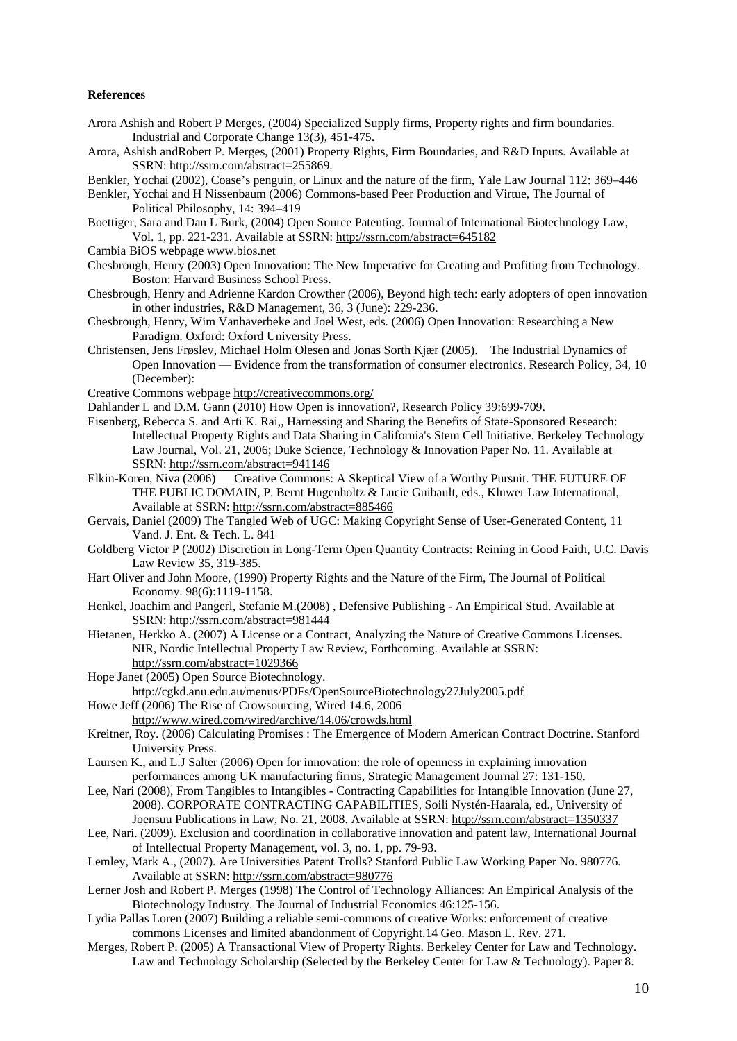#### **References**

- Arora Ashish and Robert P Merges, (2004) Specialized Supply firms, Property rights and firm boundaries. Industrial and Corporate Change 13(3), 451-475.
- Arora, Ashish andRobert P. Merges, (2001) Property Rights, Firm Boundaries, and R&D Inputs. Available at SSRN: http://ssrn.com/abstract=255869.
- Benkler, Yochai (2002), Coase's penguin, or Linux and the nature of the firm, Yale Law Journal 112: 369–446
- Benkler, Yochai and H Nissenbaum (2006) Commons-based Peer Production and Virtue, The Journal of Political Philosophy, 14: 394–419
- Boettiger, Sara and Dan L Burk, (2004) Open Source Patenting. Journal of International Biotechnology Law, Vol. 1, pp. 221-231. Available at SSRN: http://ssrn.com/abstract=645182
- Cambia BiOS webpage www.bios.net
- Chesbrough, Henry (2003) Open Innovation: The New Imperative for Creating and Profiting from Technology. Boston: Harvard Business School Press.
- Chesbrough, Henry and Adrienne Kardon Crowther (2006), Beyond high tech: early adopters of open innovation in other industries, R&D Management, 36, 3 (June): 229-236.
- Chesbrough, Henry, Wim Vanhaverbeke and Joel West, eds. (2006) Open Innovation: Researching a New Paradigm. Oxford: Oxford University Press.
- Christensen, Jens Frøslev, Michael Holm Olesen and Jonas Sorth Kjær (2005). The Industrial Dynamics of Open Innovation — Evidence from the transformation of consumer electronics. Research Policy, 34, 10 (December):
- Creative Commons webpage http://creativecommons.org/
- Dahlander L and D.M. Gann (2010) How Open is innovation?, Research Policy 39:699-709.
- Eisenberg, Rebecca S. and Arti K. Rai,, Harnessing and Sharing the Benefits of State-Sponsored Research: Intellectual Property Rights and Data Sharing in California's Stem Cell Initiative. Berkeley Technology Law Journal, Vol. 21, 2006; Duke Science, Technology & Innovation Paper No. 11. Available at SSRN: http://ssrn.com/abstract=941146
- Elkin-Koren, Niva (2006) Creative Commons: A Skeptical View of a Worthy Pursuit. THE FUTURE OF THE PUBLIC DOMAIN, P. Bernt Hugenholtz & Lucie Guibault, eds., Kluwer Law International, Available at SSRN: http://ssrn.com/abstract=885466
- Gervais, Daniel (2009) The Tangled Web of UGC: Making Copyright Sense of User-Generated Content, 11 Vand. J. Ent. & Tech. L. 841
- Goldberg Victor P (2002) Discretion in Long-Term Open Quantity Contracts: Reining in Good Faith, U.C. Davis Law Review 35, 319-385.
- Hart Oliver and John Moore, (1990) Property Rights and the Nature of the Firm, The Journal of Political Economy. 98(6):1119-1158.
- Henkel, Joachim and Pangerl, Stefanie M.(2008) , Defensive Publishing An Empirical Stud. Available at SSRN: http://ssrn.com/abstract=981444
- Hietanen, Herkko A. (2007) A License or a Contract, Analyzing the Nature of Creative Commons Licenses. NIR, Nordic Intellectual Property Law Review, Forthcoming. Available at SSRN: http://ssrn.com/abstract=1029366

Hope Janet (2005) Open Source Biotechnology.

- http://cgkd.anu.edu.au/menus/PDFs/OpenSourceBiotechnology27July2005.pdf
- Howe Jeff (2006) The Rise of Crowsourcing, Wired 14.6, 2006
	- http://www.wired.com/wired/archive/14.06/crowds.html
- Kreitner, Roy. (2006) Calculating Promises : The Emergence of Modern American Contract Doctrine*.* Stanford University Press.
- Laursen K., and L.J Salter (2006) Open for innovation: the role of openness in explaining innovation performances among UK manufacturing firms, Strategic Management Journal 27: 131-150.
- Lee, Nari (2008), From Tangibles to Intangibles Contracting Capabilities for Intangible Innovation (June 27, 2008). CORPORATE CONTRACTING CAPABILITIES, Soili Nystén-Haarala, ed., University of Joensuu Publications in Law, No. 21, 2008. Available at SSRN: http://ssrn.com/abstract=1350337
- Lee, Nari. (2009). Exclusion and coordination in collaborative innovation and patent law, International Journal of Intellectual Property Management, vol. 3, no. 1, pp. 79-93.
- Lemley, Mark A., (2007). Are Universities Patent Trolls? Stanford Public Law Working Paper No. 980776. Available at SSRN: http://ssrn.com/abstract=980776
- Lerner Josh and Robert P. Merges (1998) The Control of Technology Alliances: An Empirical Analysis of the Biotechnology Industry. The Journal of Industrial Economics 46:125-156.
- Lydia Pallas Loren (2007) Building a reliable semi-commons of creative Works: enforcement of creative commons Licenses and limited abandonment of Copyright.14 Geo. Mason L. Rev. 271.
- Merges, Robert P. (2005) A Transactional View of Property Rights. Berkeley Center for Law and Technology. Law and Technology Scholarship (Selected by the Berkeley Center for Law & Technology). Paper 8.